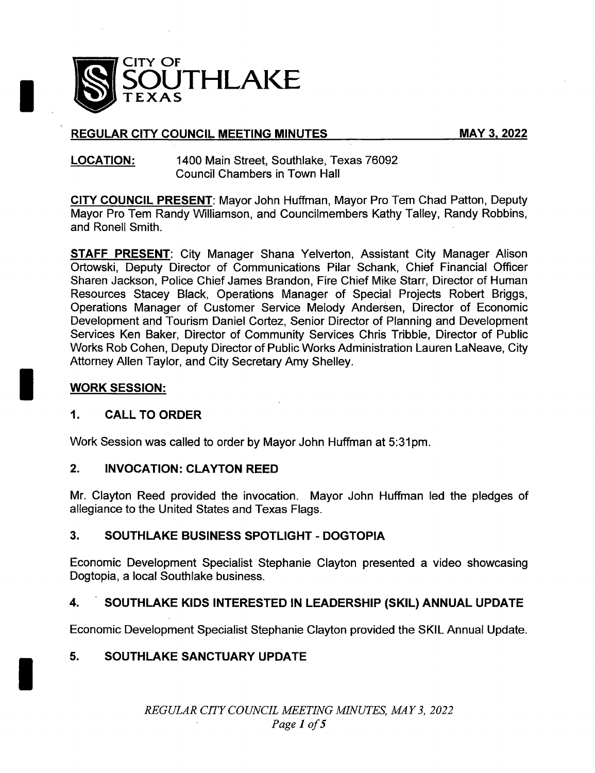

# REGULAR CITY COUNCIL MEETING MINUTES MAY 3, 2022

#### LOCATION: 1400 Main Street, Southlake, Texas 76092 Council Chambers in Town Hall

CITY COUNCIL PRESENT: Mayor John Huffman, Mayor Pro Tem Chad Patton, Deputy Mayor Pro Tem Randy Williamson, and Councilmembers Kathy Talley, Randy Robbins, and Ronell Smith.

**STAFF PRESENT:** City Manager Shana Yelverton, Assistant City Manager Alison Ortowski, Deputy Director of Communications Pilar Schank, Chief Financial Officer Sharen Jackson, Police Chief James Brandon, Fire Chief Mike Starr, Director of Human Resources Stacey Black, Operations Manager of Special Projects Robert Briggs, Operations Manager of Customer Service Melody Andersen, Director of Economic Development and Tourism Daniel Cortez, Senior Director of Planning and Development Services Ken Baker, Director of Community Services Chris Tribble, Director of Public Works Rob Cohen, Deputy Director of Public Works Administration Lauren LaNeave, City Attorney Allen Taylor, and City Secretary Amy Shelley.

# WORK SESSION:

I

### 1. CALL TO ORDER

Work Session was called to order by Mayor John Huffman at 5: 31pm.

### 2. INVOCATION: CLAYTON REED

Mr. Clayton Reed provided the invocation. Mayor John Huffman led the pledges of allegiance to the United States and Texas Flags.

# 3. SOUTHLAKE BUSINESS SPOTLIGHT - DOGTOPIA

Economic Development Specialist Stephanie Clayton presented a video showcasing Dogtopia, a local Southlake business.

# 4. SOUTHLAKE KIDS INTERESTED IN LEADERSHIP (SKIL) ANNUAL UPDATE

Economic Development Specialist Stephanie Clayton provided the SKIL Annual Update.

# 5. SOUTHLAKE SANCTUARY UPDATE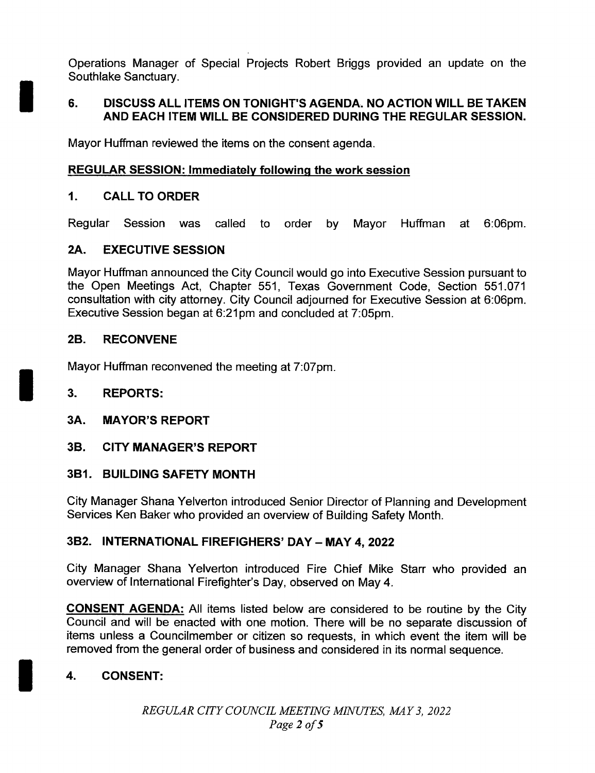Operations Manager of Special Projects Robert Briggs provided an update on the Southlake Sanctuary.

### 6. DISCUSS ALL ITEMS ON TONIGHT'S AGENDA. NO ACTION WILL BE TAKEN AND EACH ITEM WILL BE CONSIDERED DURING THE REGULAR SESSION.

Mayor Huffman reviewed the items on the consent agenda.

# REGULAR SESSION: Immediately following the work session

### 1. CALL TO ORDER

Regular Session was called to order by Mayor Huffman at 6:06pm.

### 2A. EXECUTIVE SESSION

Mayor Huffman announced the City Council would go into Executive Session pursuant to the Open Meetings Act, Chapter 551, Texas Government Code, Section 551. 071 consultation with city attorney. City Council adjourned for Executive Session at 6:06pm. Executive Session began at 6:21pm and concluded at 7:05pm.

### 2B. RECONVENE

Mayor Huffman reconvened the meeting at 7:07pm.

### 3. REPORTS:

### 3A. MAYOR'S REPORT

3B. CITY MANAGER'S REPORT

### 3B1. BUILDING SAFETY MONTH

City Manager Shana Yelverton introduced Senior Director of Planning and Development Services Ken Baker who provided an overview of Building Safety Month.

### 3B2. INTERNATIONAL FIREFIGHERS' DAY— MAY 4, 2022

City Manager Shana Yelverton introduced Fire Chief Mike Starr who provided an overview of International Firefighter's Day, observed on May 4.

CONSENT AGENDA: All items listed below are considered to be routine by the City Council and will be enacted with one motion. There will be no separate discussion of items unless a Councilmember or citizen so requests, in which event the item will be removed from the general order of business and considered in its normal sequence.

# 4. CONSENT: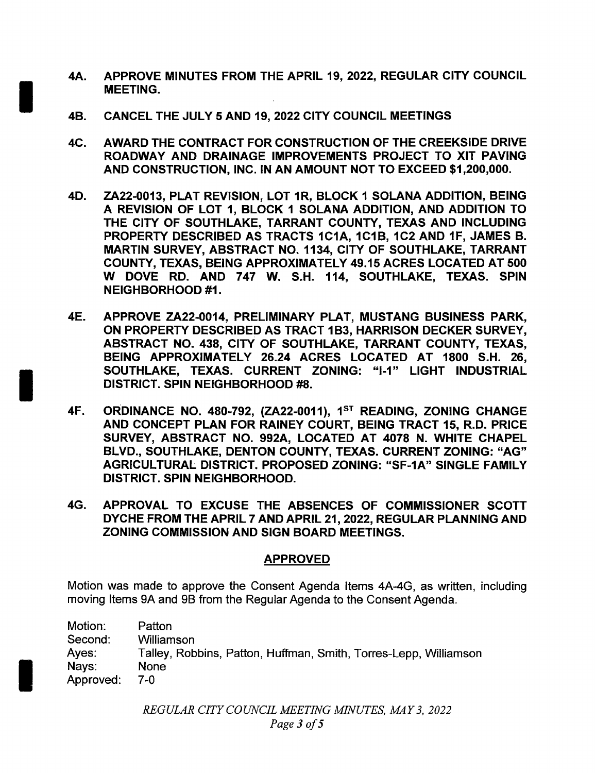- 4A. APPROVE MINUTES FROM THE APRIL 19, 2022, REGULAR CITY COUNCIL MEETING.
- 4B. CANCEL THE JULY 5 AND 19, 2022 CITY COUNCIL MEETINGS
- 4C. AWARD THE CONTRACT FOR CONSTRUCTION OF THE CREEKSIDE DRIVE ROADWAY AND DRAINAGE IMPROVEMENTS PROJECT TO XIT PAVING AND CONSTRUCTION, INC. IN AN AMOUNT NOT TO EXCEED \$1,200,000.
- 4D. ZA22-0013, PLAT REVISION, LOT 1R, BLOCK 1 SOLANA ADDITION, BEING A REVISION OF LOT 1, BLOCK <sup>1</sup> SOLANA ADDITION, AND ADDITION TO THE CITY OF SOUTHLAKE, TARRANT COUNTY, TEXAS AND INCLUDING PROPERTY DESCRIBED AS TRACTS 1C1A, 1C1B, 1C2 AND 1F, JAMES B. MARTIN SURVEY, ABSTRACT NO. 1134, CITY OF SOUTHLAKE, TARRANT COUNTY, TEXAS, BEING APPROXIMATELY 49. 15 ACRES LOCATED AT 500 W DOVE RD. AND 747 W. S.H. 114, SOUTHLAKE, TEXAS. SPIN NEIGHBORHOOD #1.
- 4E. APPROVE ZA22- 0014, PRELIMINARY PLAT, MUSTANG BUSINESS PARK, ON PROPERTY DESCRIBED AS TRACT 1B3, HARRISON DECKER SURVEY, ABSTRACT NO. 438, CITY OF SOUTHLAKE, TARRANT COUNTY, TEXAS, BEING APPROXIMATELY 26.24 ACRES LOCATED AT 1800 S.H. 26, SOUTHLAKE, TEXAS, CURRENT ZONING: "I-1" LIGHT INDUSTRIAL DISTRICT. SPIN NEIGHBORHOOD #8.
- 4F. ORDINANCE NO. 480-792, (ZA22-0011), 1<sup>ST</sup> READING, ZONING CHANGE AND CONCEPT PLAN FOR RAINEY COURT, BEING TRACT 15, R. D. PRICE SURVEY, ABSTRACT NO. 992A, LOCATED AT 4078 N. WHITE CHAPEL BLVD., SOUTHLAKE, DENTON COUNTY, TEXAS. CURRENT ZONING: " AG" AGRICULTURAL DISTRICT. PROPOSED ZONING: " SF- 1A" SINGLE FAMILY DISTRICT. SPIN NEIGHBORHOOD.
- 4G. APPROVAL TO EXCUSE THE ABSENCES OF COMMISSIONER SCOTT DYCHE FROM THE APRIL 7 AND APRIL 21, 2022, REGULAR PLANNING AND ZONING COMMISSION AND SIGN BOARD MEETINGS.

### APPROVED

Motion was made to approve the Consent Agenda Items 4A-4G, as written, including moving Items 9A and 9B from the Regular Agenda to the Consent Agenda.

| Motion:   | Patton                                                           |
|-----------|------------------------------------------------------------------|
| Second:   | Williamson                                                       |
| Ayes:     | Talley, Robbins, Patton, Huffman, Smith, Torres-Lepp, Williamson |
| Nays:     | <b>None</b>                                                      |
| Approved: | 7-0                                                              |

REGULAR CTTY COUNCIL MEETING MINUTES, MAY 3, 2022 Page 3 of 5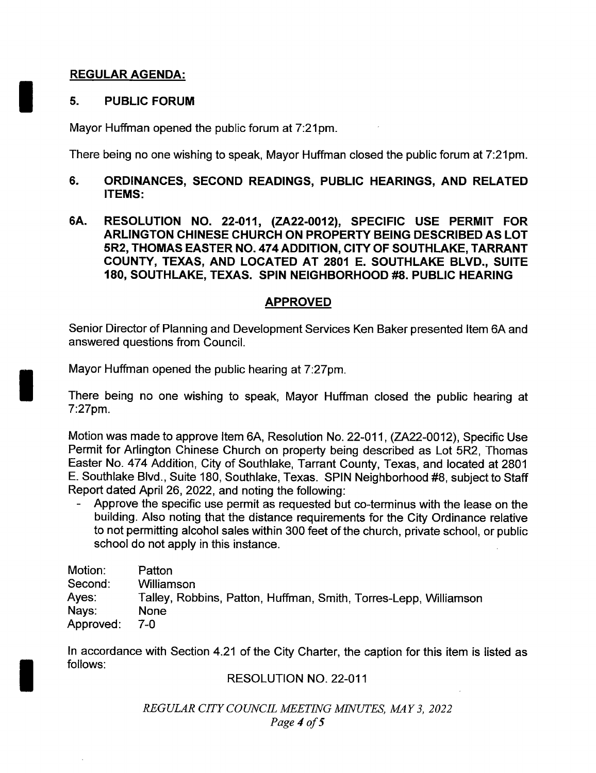### REGULAR AGENDA:

#### 5. PUBLIC FORUM

Mayor Huffman opened the public forum at 7:21pm.

There being no one wishing to speak, Mayor Huffman closed the public forum at 7:21pm.

#### 6. ORDINANCES, SECOND READINGS, PUBLIC HEARINGS, AND RELATED ITEMS:

6A. RESOLUTION NO. 22-011, (ZA22-0012), SPECIFIC USE PERMIT FOR ARLINGTON CHINESE CHURCH ON PROPERTY BEING DESCRIBED AS LOT 5R2, THOMAS EASTER NO. 474 ADDITION, CITY OF SOUTHLAKE, TARRANT COUNTY, TEXAS, AND LOCATED AT 2801 E. SOUTHLAKE BLVD., SUITE 180, SOUTHLAKE, TEXAS. SPIN NEIGHBORHOOD #8. PUBLIC HEARING

### APPROVED

Senior Director of Planning and Development Services Ken Baker presented Item 6A and answered questions from Council.

Mayor Huffman opened the public hearing at 7:27pm.

There being no one wishing to speak, Mayor Huffman closed the public hearing at 7:27pm.

Motion was made to approve Item 6A, Resolution No. 22-011, (ZA22-0012), Specific Use Permit for Arlington Chinese Church on property being described as Lot 5R2, Thomas Easter No. 474 Addition, City of Southlake, Tarrant County, Texas, and located at 2801 E. Southlake Blvd., Suite 180, Southlake, Texas. SPIN Neighborhood #8, subject to Staff Report dated April 26, 2022, and noting the following:

Approve the specific use permit as requested but co-terminus with the lease on the building. Also noting that the distance requirements for the City Ordinance relative to not permitting alcohol sales within 300 feet of the church, private school, or public school do not apply in this instance.

| Motion:   | Patton                                                           |
|-----------|------------------------------------------------------------------|
| Second:   | Williamson                                                       |
| Ayes:     | Talley, Robbins, Patton, Huffman, Smith, Torres-Lepp, Williamson |
| Nays:     | <b>None</b>                                                      |
| Approved: | 7-0                                                              |

In accordance with Section 4.21 of the City Charter, the caption for this item is listed as follows:

RESOLUTION NO. 22-011

REGULAR CITY COUNCIL MEETING MINUTES, MAY 3, 2022 Page 4 of 5